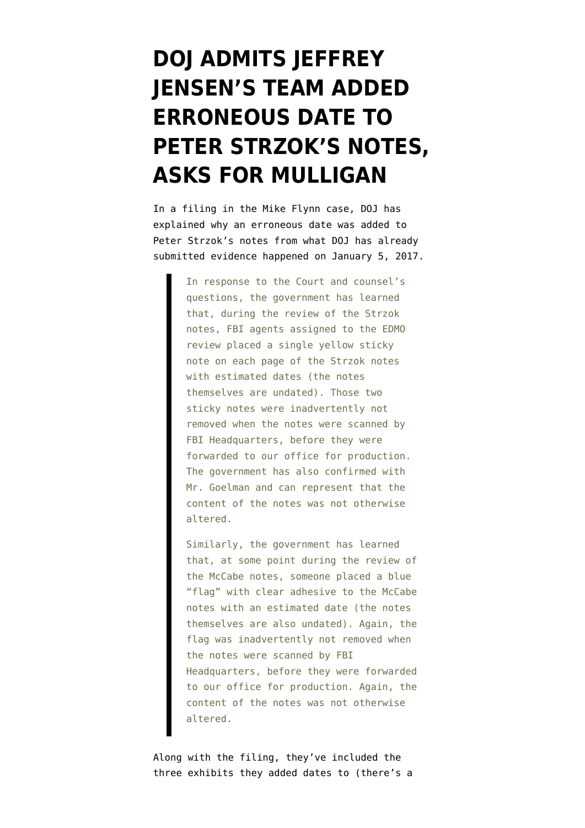## **[DOJ ADMITS JEFFREY](https://www.emptywheel.net/2020/10/07/doj-admits-jeffrey-jensens-team-added-erroneous-date-to-peter-strzoks-notes-asks-for-mulligan/) [JENSEN'S TEAM ADDED](https://www.emptywheel.net/2020/10/07/doj-admits-jeffrey-jensens-team-added-erroneous-date-to-peter-strzoks-notes-asks-for-mulligan/) [ERRONEOUS DATE TO](https://www.emptywheel.net/2020/10/07/doj-admits-jeffrey-jensens-team-added-erroneous-date-to-peter-strzoks-notes-asks-for-mulligan/) [PETER STRZOK'S NOTES,](https://www.emptywheel.net/2020/10/07/doj-admits-jeffrey-jensens-team-added-erroneous-date-to-peter-strzoks-notes-asks-for-mulligan/) [ASKS FOR MULLIGAN](https://www.emptywheel.net/2020/10/07/doj-admits-jeffrey-jensens-team-added-erroneous-date-to-peter-strzoks-notes-asks-for-mulligan/)**

In a filing in the Mike Flynn case, DOJ has [explained](https://www.emptywheel.net/wp-content/uploads/2020/10/201007-Flynn-Tampering.pdf) why an erroneous date was added to Peter Strzok's notes from what DOJ has already [submitted evidence](https://www.emptywheel.net/2020/10/02/doj-has-submitted-proof-they-knew-the-january-5-2017-meeting-took-place-on-january-5-2017/) happened on January 5, 2017.

> In response to the Court and counsel's questions, the government has learned that, during the review of the Strzok notes, FBI agents assigned to the EDMO review placed a single yellow sticky note on each page of the Strzok notes with estimated dates (the notes themselves are undated). Those two sticky notes were inadvertently not removed when the notes were scanned by FBI Headquarters, before they were forwarded to our office for production. The government has also confirmed with Mr. Goelman and can represent that the content of the notes was not otherwise altered.

Similarly, the government has learned that, at some point during the review of the McCabe notes, someone placed a blue "flag" with clear adhesive to the McCabe notes with an estimated date (the notes themselves are also undated). Again, the flag was inadvertently not removed when the notes were scanned by FBI Headquarters, before they were forwarded to our office for production. Again, the content of the notes was not otherwise altered.

Along with the filing, they've included the three exhibits they added dates to (there's [a](https://www.emptywheel.net/2020/09/29/doj-adopts-a-fourth-way-of-dating-undated-notes/)